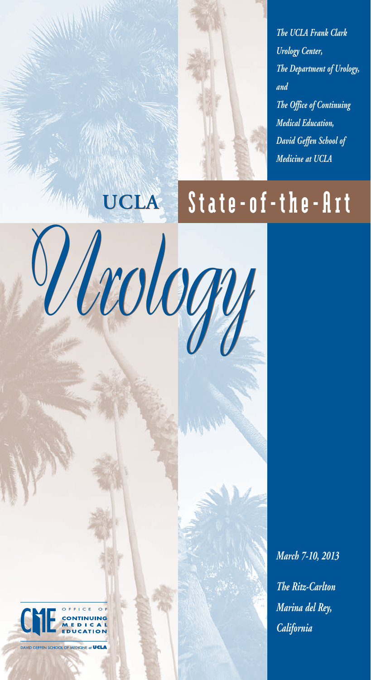

# **UCLA**

*Urology Urology*

# State-of-the-Art

*March 7-10, 2013 The Ritz-Carlton Marina del Rey, California*



DAVID GEFFEN SCHOOL OF MEDICINE at **UCLA**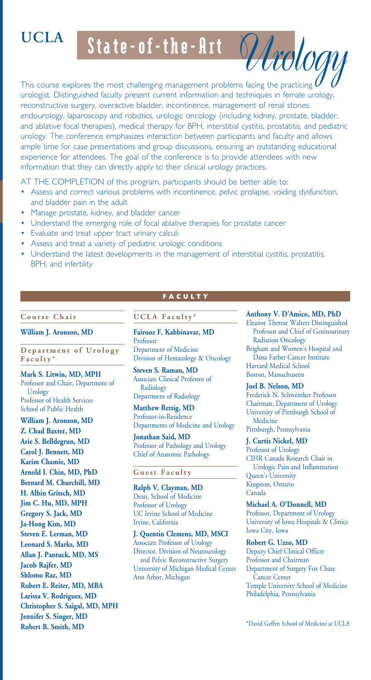# **UCLA**

State-of-the-Art

This course explores the most challenging management problems facing the practicing  $\mathfrak l$ urologist. Distinguished faculty present current information and techniques in female urology, reconstructive surgery, overactive bladder, incontinence, management of renal stones, endourology, laparoscopy and robotics, urologic oncology (including kidney, prostate, bladder, and ablative focal therapies), medical therapy for BPH, interstitial cystitis, prostatitis, and pediatric urology. The conference emphasizes interaction between participants and faculty and allows ample time for case presentations and group discussions, ensuring an outstanding educational experience for attendees. The goal of the conference is to provide attendees with new information that they can directly apply to their clinical urology practices.

AT THE COMPLETION of this program, participants should be better able to:

- Assess and correct various problems with incontinence, pelvic prolapse, voiding dysfunction, and bladder pain in the adult
- Manage prostate, kidney, and bladder cancer
- Understand the emerging role of focal ablative therapies for prostate cancer
- **Evaluate and treat upper tract urinary calculi**
- Assess and treat a variety of pediatric urologic conditions
- Understand the latest developments in the management of interstitial cystitis, prostatitis, BPH, and infertility

#### **C o u r s e C h a i r**

**William J. Aronson, MD** 

Department of Urology **Faculty\***

**Mark S. Litwin, MD, MPH**  Professor and Chair, Department of Urology Professor of Health Services School of Public Health

**William J. Aronson, MD Z. Chad Baxter, MD Arie S. Belldegrun, MD Carol J. Bennett, MD Karim Chamie, MD Arnold I. Chin, MD, PhD Bernard M. Churchill, MD H. Albin Gritsch, MD Jim C. Hu, MD, MPH Gregory S. Jack, MD Ja-Hong Kim, MD Steven E. Lerman, MD Leonard S. Marks, MD Allan J. Pantuck, MD, MS Jacob Rajfer, MD Shlomo Raz, MD Robert E. Reiter, MD, MBA Larissa V. Rodriguez, MD Christopher S. Saigal, MD, MPH Jennifer S. Singer, MD Robert B. Smith, MD** 

## **FACULTY**

#### **UCLA Faculty\***

#### **Fairooz F. Kabbinavar, MD**

Professor Department of Medicine Division of Hematology & Oncology

**Steven S. Raman, MD**  Associate Clinical Professor of Radiology Department of Radiology

**Matthew Rettig, MD**  Professor-in-Residence Departments of Medicine and Urology

**Jonathan Said, MD** Professor of Pathology and Urology Chief of Anatomic Pathology

#### **Guest Faculty**

**Ralph V. Clayman, MD** Dean, School of Medicine Professor of Urology UC Irvine School of Medicine Irvine, California

**J. Quentin Clemens, MD, MSCI** Associate Professor of Urology Director, Division of Neurourology and Pelvic Reconstructive Surgery University of Michigan Medical Center Ann Arbor, Michigan

#### **Anthony V. D'Amico, MD, PhD**

*Urology*

Eleanor Therese Walters Distinguished Professor and Chief of Genitourinary Radiation Oncology Brigham and Women's Hospital and Dana Farber Cancer Institute Harvard Medical School Boston, Massachusetts

#### **Joel B. Nelson, MD**

Frederick N. Schwentker Professor Chairman, Department of Urology University of Pittsburgh School of Medicine Pittsburgh, Pennsylvania

**J. Curtis Nickel, MD**  Professor of Urology CIHR Canada Research Chair in Urologic Pain and Inflammation Queen's University Kingston, Ontario Canada

#### **Michael A. O'Donnell, MD**

Professor, Department of Urology University of Iowa Hospitals & Clinics Iowa City, Iowa

#### **Robert G. Uzzo, MD**

Deputy Chief Clinical Officer Professor and Chairman Department of Surgery Fox Chase Cancer Center Temple University School of Medicine Philadelphia, Pennsylvania

\*David Geffen School of Medicine at UCLA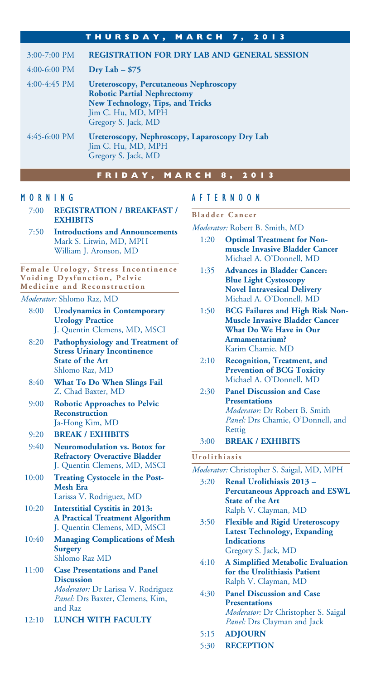|                        | THURSDAY, MARCH 7, 2013                                                                                                                                              |
|------------------------|----------------------------------------------------------------------------------------------------------------------------------------------------------------------|
| $3:00-7:00$ PM         | <b>REGISTRATION FOR DRY LAB AND GENERAL SESSION</b>                                                                                                                  |
| $4:00-6:00$ PM         | Dry Lab $-$ \$75                                                                                                                                                     |
| $4:00-4:45$ PM         | <b>Ureteroscopy, Percutaneous Nephroscopy</b><br><b>Robotic Partial Nephrectomy</b><br>New Technology, Tips, and Tricks<br>Jim C. Hu, MD, MPH<br>Gregory S. Jack, MD |
| $4:45-6:00 \text{ PM}$ | Ureteroscopy, Nephroscopy, Laparoscopy Dry Lab<br>Jim C. Hu, MD, MPH<br>Gregory S. Jack, MD                                                                          |

#### **FRIDAY, MARCH 8, 2013**

#### MORNING

- 7:00 **REGISTRATION / BREAKFAST / EXHIBITS**
- 7:50 **Introductions and Announcements** Mark S. Litwin, MD, MPH William J. Aronson, MD

**Female Urology, Stress Incontinence Voiding Dysfunction, Pelvic Medicine and Reconstruction**

#### *Moderator:* Shlomo Raz, MD

- 8:00 **Urodynamics in Contemporary Urology Practice** J. Quentin Clemens, MD, MSCI
- 8:20 **Pathophysiology and Treatment of Stress Urinary Incontinence State of the Art** Shlomo Raz, MD
- 8:40 **What To Do When Slings Fail** Z. Chad Baxter, MD
- 9:00 **Robotic Approaches to Pelvic Reconstruction** Ja-Hong Kim, MD
- 9:20 **BREAK / EXHIBITS**
- 9:40 **Neuromodulation vs. Botox for Refractory Overactive Bladder** J. Quentin Clemens, MD, MSCI
- 10:00 **Treating Cystocele in the Post-Mesh Era**  Larissa V. Rodriguez, MD
- 10:20 **Interstitial Cystitis in 2013: A Practical Treatment Algorithm** J. Quentin Clemens, MD, MSCI
- 10:40 **Managing Complications of Mesh Surgery** Shlomo Raz MD
- 11:00 **Case Presentations and Panel Discussion** *Moderator:* Dr Larissa V. Rodriguez *Panel:* Drs Baxter, Clemens, Kim, and Raz
- 12:10 **LUNCH WITH FACULTY**

#### AFTERNOON

#### **Bladder Cancer**

*Moderator:* Robert B. Smith, MD

- 1:20 **Optimal Treatment for Nonmuscle Invasive Bladder Cancer** Michael A. O'Donnell, MD
- 1:35 **Advances in Bladder Cancer: Blue Light Cystoscopy Novel Intravesical Delivery** Michael A. O'Donnell, MD
- 1:50 **BCG Failures and High Risk Non-Muscle Invasive Bladder Cancer What Do We Have in Our Armamentarium?** Karim Chamie, MD
- 2:10 **Recognition, Treatment, and Prevention of BCG Toxicity** Michael A. O'Donnell, MD
- 2:30 **Panel Discussion and Case Presentations** *Moderator:* Dr Robert B. Smith *Panel:* Drs Chamie, O'Donnell, and Rettig
- 3:00 **BREAK / EXHIBITS**

#### **Urolithiasis**

#### *Moderator:* Christopher S. Saigal, MD, MPH

- 3:20 **Renal Urolithiasis 2013 Percutaneous Approach and ESWL State of the Art** Ralph V. Clayman, MD
- 3:50 **Flexible and Rigid Ureteroscopy Latest Technology, Expanding Indications** Gregory S. Jack, MD
- 4:10 **A Simplified Metabolic Evaluation for the Urolithiasis Patient** Ralph V. Clayman, MD
- 4:30 **Panel Discussion and Case Presentations** *Moderator:* Dr Christopher S. Saigal *Panel:* Drs Clayman and Jack
- 5:15 **ADJOURN**
- 5:30 **RECEPTION**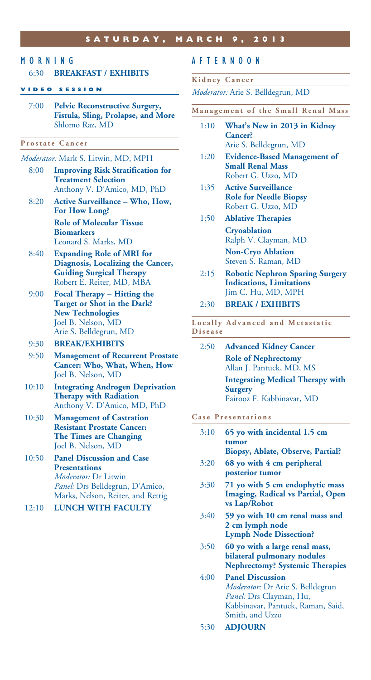### MORNING

#### 6:30 **BREAKFAST / EXHIBITS**

#### **VIDEO SESSION**

7:00 **Pelvic Reconstructive Surgery, Fistula, Sling, Prolapse, and More** Shlomo Raz, MD

#### **Prostate Cancer**

#### *Moderator:* Mark S. Litwin, MD, MPH

- 8:00 **Improving Risk Stratification for Treatment Selection** Anthony V. D'Amico, MD, PhD
- 8:20 **Active Surveillance Who, How, For How Long? Role of Molecular Tissue Biomarkers**

 Leonard S. Marks, MD 8:40 **Expanding Role of MRI for Diagnosis, Localizing the Cancer, Guiding Surgical Therapy**

- Robert E. Reiter, MD, MBA 9:00 **Focal Therapy – Hitting the Target or Shot in the Dark?**
- **New Technologies** Joel B. Nelson, MD Arie S. Belldegrun, MD

#### 9:30 **BREAK/EXHIBITS**

- 9:50 **Management of Recurrent Prostate Cancer: Who, What, When, How** Joel B. Nelson, MD
- 10:10 **Integrating Androgen Deprivation Therapy with Radiation** Anthony V. D'Amico, MD, PhD
- 10:30 **Management of Castration Resistant Prostate Cancer: The Times are Changing** Joel B. Nelson, MD
- 10:50 **Panel Discussion and Case Presentations** *Moderator:* Dr Litwin *Panel:* Drs Belldegrun, D'Amico, Marks, Nelson, Reiter, and Rettig
- 12:10 **LUNCH WITH FACULTY**

#### AFTERNOON

#### **Kidney Cancer**

*Moderator:* Arie S. Belldegrun, MD

- **Management of the Small Renal Mass**
	- 1:10 **What's New in 2013 in Kidney Cancer?**  Arie S. Belldegrun, MD
	- 1:20 **Evidence-Based Management of Small Renal Mass** Robert G. Uzzo, MD
	- 1:35 **Active Surveillance Role for Needle Biopsy** Robert G. Uzzo, MD
	- 1:50 **Ablative Therapies Cryoablation**  Ralph V. Clayman, MD **Non-Cryo Ablation**  Steven S. Raman, MD
	- 2:15 **Robotic Nephron Sparing Surgery Indications, Limitations** Jim C. Hu, MD, MPH
	- 2:30 **BREAK / EXHIBITS**

Locally Advanced and Metastatic **Disease**

2:50 **Advanced Kidney Cancer Role of Nephrectomy** Allan J. Pantuck, MD, MS

> **Integrating Medical Therapy with Surgery** Fairooz F. Kabbinavar, MD

#### **Case Presentations**

- 3:10 **65 yo with incidental 1.5 cm tumor Biopsy, Ablate, Observe, Partial?**
- 3:20 **68 yo with 4 cm peripheral posterior tumor**
- 3:30 **71 yo with 5 cm endophytic mass Imaging, Radical vs Partial, Open vs Lap/Robot**
- 3:40 **59 yo with 10 cm renal mass and 2 cm lymph node Lymph Node Dissection?**
- 3:50 **60 yo with a large renal mass, bilateral pulmonary nodules Nephrectomy? Systemic Therapies**
- 4:00 **Panel Discussion**  *Moderator:* Dr Arie S. Belldegrun  *Panel:* Drs Clayman, Hu, Kabbinavar, Pantuck, Raman, Said, Smith, and Uzzo
- 5:30 **ADJOURN**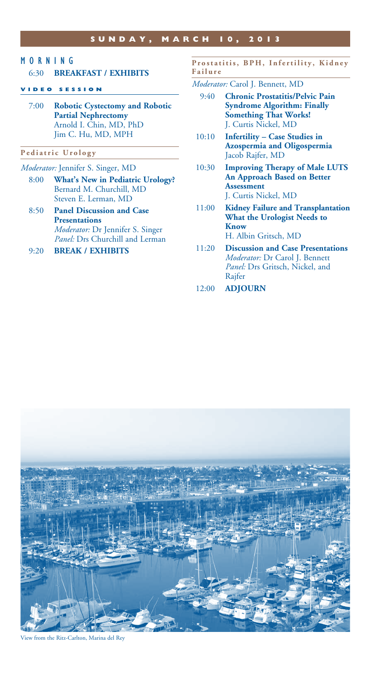## MORNING

#### 6:30 **BREAKFAST / EXHIBITS**

#### **VIDEO SESSION**

7:00 **Robotic Cystectomy and Robotic Partial Nephrectomy** Arnold I. Chin, MD, PhD Jim C. Hu, MD, MPH

#### **Pediatric Urology**

- *Moderator:* Jennifer S. Singer, MD
	- 8:00 **What's New in Pediatric Urology?** Bernard M. Churchill, MD Steven E. Lerman, MD
	- 8:50 **Panel Discussion and Case Presentations** *Moderator:* Dr Jennifer S. Singer *Panel:* Drs Churchill and Lerman
	- 9:20 **BREAK / EXHIBITS**

#### Prostatitis, BPH, Infertility, Kidney **Failure**

- *Moderator:* Carol J. Bennett, MD
	- 9:40 **Chronic Prostatitis/Pelvic Pain Syndrome Algorithm: Finally Something That Works!** J. Curtis Nickel, MD
	- 10:10 **Infertility Case Studies in Azospermia and Oligospermia** Jacob Rajfer, MD
	- 10:30 **Improving Therapy of Male LUTS An Approach Based on Better Assessment** J. Curtis Nickel, MD
	- 11:00 **Kidney Failure and Transplantation What the Urologist Needs to Know** H. Albin Gritsch, MD
	- 11:20 **Discussion and Case Presentations**  *Moderator:* Dr Carol J. Bennett  *Panel:* Drs Gritsch, Nickel, and Rajfer
- 12:00 **ADJOURN**



View from the Ritz-Carlton, Marina del Rey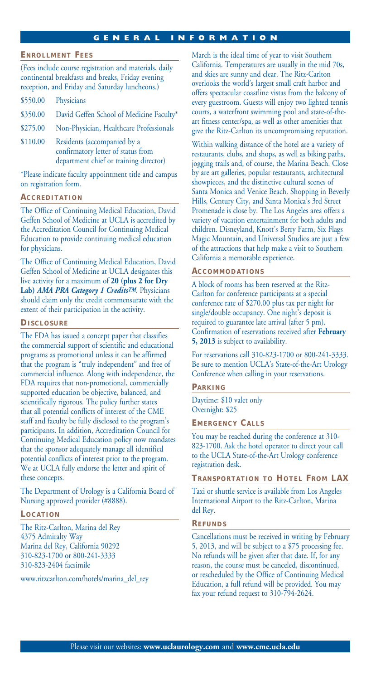#### **g eneral information**

#### **E n r o l l m e n t F ee s**

(Fees include course registration and materials, daily continental breakfasts and breaks, Friday evening reception, and Friday and Saturday luncheons.)

- \$350.00 David Geffen School of Medicine Faculty\*
- \$275.00 Non-Physician, Healthcare Professionals
- \$110.00 Residents (accompanied by a confirmatory letter of status from department chief or training director)

\*Please indicate faculty appointment title and campus on registration form.

#### **A c c r e d i t a t i o n**

The Office of Continuing Medical Education, David Geffen School of Medicine at UCLA is accredited by the Accreditation Council for Continuing Medical Education to provide continuing medical education for physicians.

The Office of Continuing Medical Education, David Geffen School of Medicine at UCLA designates this live activity for a maximum of **20 (plus 2 for Dry Lab)** *AMA PRA Category 1 CreditsTM*. Physicians should claim only the credit commensurate with the extent of their participation in the activity.

#### **Di s c l o s u r e**

The FDA has issued a concept paper that classifies the commercial support of scientific and educational programs as promotional unless it can be affirmed that the program is "truly independent" and free of commercial influence. Along with independence, the FDA requires that non-promotional, commercially supported education be objective, balanced, and scientifically rigorous. The policy further states that all potential conflicts of interest of the CME staff and faculty be fully disclosed to the program's participants. In addition, Accreditation Council for Continuing Medical Education policy now mandates that the sponsor adequately manage all identified potential conflicts of interest prior to the program. We at UCLA fully endorse the letter and spirit of these concepts.

The Department of Urology is a California Board of Nursing approved provider (#8888).

#### **L o c a t i o n**

The Ritz-Carlton, Marina del Rey 4375 Admiralty Way Marina del Rey, California 90292 310-823-1700 or 800-241-3333 310-823-2404 facsimile

www.ritzcarlton.com/hotels/marina\_del\_rey

March is the ideal time of year to visit Southern California. Temperatures are usually in the mid 70s, and skies are sunny and clear. The Ritz-Carlton overlooks the world's largest small craft harbor and offers spectacular coastline vistas from the balcony of every guestroom. Guests will enjoy two lighted tennis courts, a waterfront swimming pool and state-of-theart fitness center/spa, as well as other amenities that give the Ritz-Carlton its uncompromising reputation.

Within walking distance of the hotel are a variety of restaurants, clubs, and shops, as well as biking paths, jogging trails and, of course, the Marina Beach. Close by are art galleries, popular restaurants, architectural showpieces, and the distinctive cultural scenes of Santa Monica and Venice Beach. Shopping in Beverly Hills, Century City, and Santa Monica's 3rd Street Promenade is close by. The Los Angeles area offers a variety of vacation entertainment for both adults and children. Disneyland, Knott's Berry Farm, Six Flags Magic Mountain, and Universal Studios are just a few of the attractions that help make a visit to Southern California a memorable experience.

#### **A c c o m m o d a t i o n s**

A block of rooms has been reserved at the Ritz-Carlton for conference participants at a special conference rate of \$270.00 plus tax per night for single/double occupancy. One night's deposit is required to guarantee late arrival (after 5 pm). Confirmation of reservations received after **February 5, 2013** is subject to availability.

For reservations call 310-823-1700 or 800-241-3333. Be sure to mention UCLA's State-of-the-Art Urology Conference when calling in your reservations.

#### **P a r k i n g**

Daytime: \$10 valet only Overnight: \$25

**E m e r g e n c y Ca l l s**

You may be reached during the conference at 310- 823-1700. Ask the hotel operator to direct your call to the UCLA State-of-the-Art Urology conference registration desk.

#### **T r a n s p o r t a t i o n t o H o t e l F r o m LA X**

Taxi or shuttle service is available from Los Angeles International Airport to the Ritz-Carlton, Marina del Rey.

#### **Ref u n d s**

Cancellations must be received in writing by February 5, 2013, and will be subject to a \$75 processing fee. No refunds will be given after that date. If, for any reason, the course must be canceled, discontinued, or rescheduled by the Office of Continuing Medical Education, a full refund will be provided. You may fax your refund request to 310-794-2624.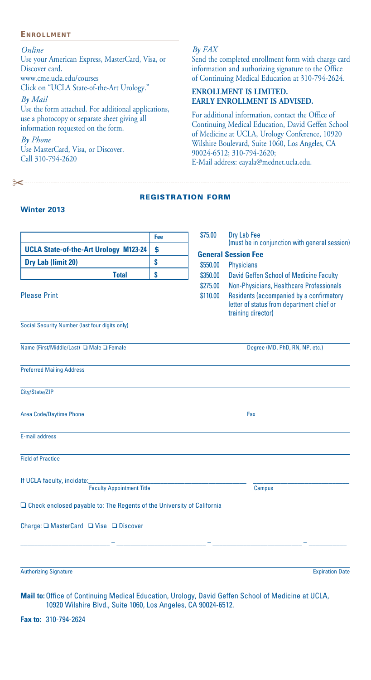#### **E n r o l l m e n t**

*Online*

Use your American Express, MasterCard, Visa, or Discover card. www.cme.ucla.edu/courses Click on "UCLA State-of-the-Art Urology."

*By Mail*

Use the form attached. For additional applications, use a photocopy or separate sheet giving all information requested on the form.

*By Phone*

Use MasterCard, Visa, or Discover. Call 310-794-2620

"

#### *By FAX*

Send the completed enrollment form with charge card information and authorizing signature to the Office of Continuing Medical Education at 310-794-2624.

#### **ENROLLMENT IS LIMITED. EARLY ENROLLMENT IS ADVISED.**

For additional information, contact the Office of Continuing Medical Education, David Geffen School of Medicine at UCLA, Urology Conference, 10920 Wilshire Boulevard, Suite 1060, Los Angeles, CA 90024-6512; 310-794-2620; E-Mail address: eayala@mednet.ucla.edu.

#### registration form

#### **Winter 2013**

|                                                                               | Fee | \$75.00  | Dry Lab Fee<br>(must be in conjunction with general session)                                                |  |  |
|-------------------------------------------------------------------------------|-----|----------|-------------------------------------------------------------------------------------------------------------|--|--|
| <b>UCLA State-of-the-Art Urology M123-24</b>                                  | \$  |          | <b>General Session Fee</b>                                                                                  |  |  |
| Dry Lab (limit 20)                                                            | \$  | \$550.00 | <b>Physicians</b>                                                                                           |  |  |
| <b>Total</b>                                                                  | Ś   | \$350.00 | David Geffen School of Medicine Faculty                                                                     |  |  |
|                                                                               |     | \$275.00 | Non-Physicians, Healthcare Professionals                                                                    |  |  |
| <b>Please Print</b>                                                           |     | \$110.00 | Residents (accompanied by a confirmatory<br>letter of status from department chief or<br>training director) |  |  |
| Social Security Number (last four digits only)                                |     |          |                                                                                                             |  |  |
| Name (First/Middle/Last) □ Male □ Female                                      |     |          | Degree (MD, PhD, RN, NP, etc.)                                                                              |  |  |
| <b>Preferred Mailing Address</b>                                              |     |          |                                                                                                             |  |  |
| City/State/ZIP                                                                |     |          |                                                                                                             |  |  |
| <b>Area Code/Daytime Phone</b>                                                |     |          | Fax                                                                                                         |  |  |
| E-mail address                                                                |     |          |                                                                                                             |  |  |
| <b>Field of Practice</b>                                                      |     |          |                                                                                                             |  |  |
| If UCLA faculty, incidate:<br><b>Faculty Appointment Title</b>                |     |          |                                                                                                             |  |  |
| $\Box$ Check enclosed payable to: The Regents of the University of California |     |          | <b>Campus</b>                                                                                               |  |  |
|                                                                               |     |          |                                                                                                             |  |  |
| Charge: □ MasterCard □ Visa □ Discover                                        |     |          |                                                                                                             |  |  |
|                                                                               |     |          |                                                                                                             |  |  |
| <b>Authorizing Signature</b>                                                  |     |          | <b>Expiration Date</b>                                                                                      |  |  |

**Mail to:** Office of Continuing Medical Education, Urology, David Geffen School of Medicine at UCLA, 10920 Wilshire Blvd., Suite 1060, Los Angeles, CA 90024-6512.

**Fax to:** 310-794-2624